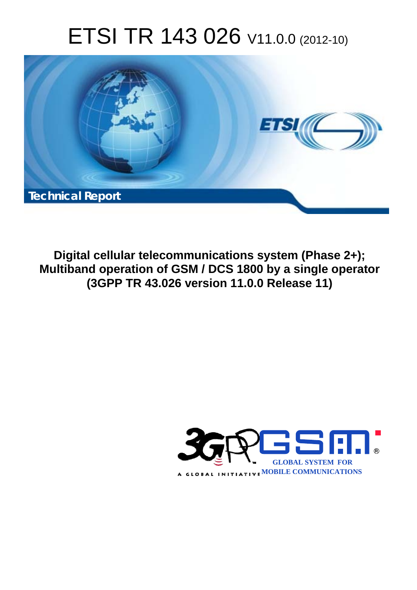# ETSI TR 143 026 V11.0.0 (2012-10)



**Digital cellular telecommunications system (Phase 2+); Multiband operation of GSM / DCS 1800 by a single operator (3GPP TR 43.026 version 11.0.0 Release 11)** 

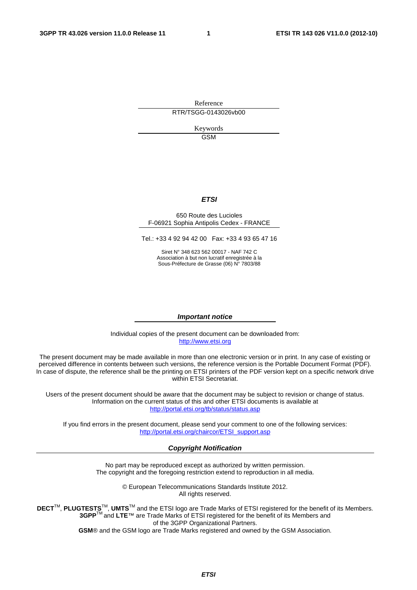Reference RTR/TSGG-0143026vb00

> Keywords GSM

#### *ETSI*

#### 650 Route des Lucioles F-06921 Sophia Antipolis Cedex - FRANCE

Tel.: +33 4 92 94 42 00 Fax: +33 4 93 65 47 16

Siret N° 348 623 562 00017 - NAF 742 C Association à but non lucratif enregistrée à la Sous-Préfecture de Grasse (06) N° 7803/88

#### *Important notice*

Individual copies of the present document can be downloaded from: [http://www.etsi.org](http://www.etsi.org/)

The present document may be made available in more than one electronic version or in print. In any case of existing or perceived difference in contents between such versions, the reference version is the Portable Document Format (PDF). In case of dispute, the reference shall be the printing on ETSI printers of the PDF version kept on a specific network drive within ETSI Secretariat.

Users of the present document should be aware that the document may be subject to revision or change of status. Information on the current status of this and other ETSI documents is available at <http://portal.etsi.org/tb/status/status.asp>

If you find errors in the present document, please send your comment to one of the following services: [http://portal.etsi.org/chaircor/ETSI\\_support.asp](http://portal.etsi.org/chaircor/ETSI_support.asp)

#### *Copyright Notification*

No part may be reproduced except as authorized by written permission. The copyright and the foregoing restriction extend to reproduction in all media.

> © European Telecommunications Standards Institute 2012. All rights reserved.

**DECT**TM, **PLUGTESTS**TM, **UMTS**TM and the ETSI logo are Trade Marks of ETSI registered for the benefit of its Members. **3GPP**TM and **LTE**™ are Trade Marks of ETSI registered for the benefit of its Members and of the 3GPP Organizational Partners.

**GSM**® and the GSM logo are Trade Marks registered and owned by the GSM Association.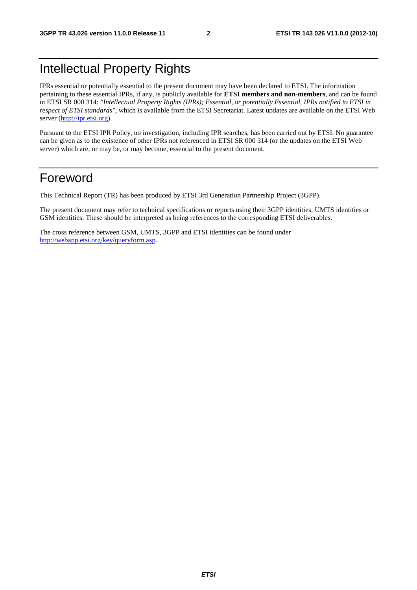# Intellectual Property Rights

IPRs essential or potentially essential to the present document may have been declared to ETSI. The information pertaining to these essential IPRs, if any, is publicly available for **ETSI members and non-members**, and can be found in ETSI SR 000 314: *"Intellectual Property Rights (IPRs); Essential, or potentially Essential, IPRs notified to ETSI in respect of ETSI standards"*, which is available from the ETSI Secretariat. Latest updates are available on the ETSI Web server [\(http://ipr.etsi.org](http://webapp.etsi.org/IPR/home.asp)).

Pursuant to the ETSI IPR Policy, no investigation, including IPR searches, has been carried out by ETSI. No guarantee can be given as to the existence of other IPRs not referenced in ETSI SR 000 314 (or the updates on the ETSI Web server) which are, or may be, or may become, essential to the present document.

# Foreword

This Technical Report (TR) has been produced by ETSI 3rd Generation Partnership Project (3GPP).

The present document may refer to technical specifications or reports using their 3GPP identities, UMTS identities or GSM identities. These should be interpreted as being references to the corresponding ETSI deliverables.

The cross reference between GSM, UMTS, 3GPP and ETSI identities can be found under [http://webapp.etsi.org/key/queryform.asp.](http://webapp.etsi.org/key/queryform.asp)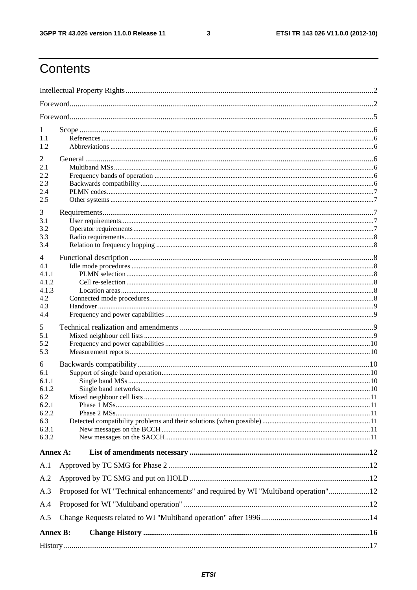$\mathbf{3}$ 

# Contents

| 1<br>1.1<br>1.2                                                              |                                                                                     |  |
|------------------------------------------------------------------------------|-------------------------------------------------------------------------------------|--|
| 2<br>2.1<br>2.2<br>2.3<br>2.4<br>2.5                                         |                                                                                     |  |
| 3<br>3.1<br>3.2<br>3.3<br>3.4<br>4                                           |                                                                                     |  |
| 4.1<br>4.1.1<br>4.1.2<br>4.1.3<br>4.2<br>4.3<br>4.4                          |                                                                                     |  |
| 5<br>5.1<br>5.2<br>5.3                                                       |                                                                                     |  |
| 6<br>6.1<br>6.1.1<br>6.1.2<br>6.2<br>6.2.1<br>6.2.2<br>6.3<br>6.3.1<br>6.3.2 | Mixed neighbour cell lists                                                          |  |
| Annex A:                                                                     |                                                                                     |  |
| A.1                                                                          |                                                                                     |  |
| A.2                                                                          |                                                                                     |  |
| A.3                                                                          | Proposed for WI "Technical enhancements" and required by WI "Multiband operation"12 |  |
| A.4                                                                          |                                                                                     |  |
| A.5                                                                          |                                                                                     |  |
| <b>Annex B:</b>                                                              |                                                                                     |  |
|                                                                              |                                                                                     |  |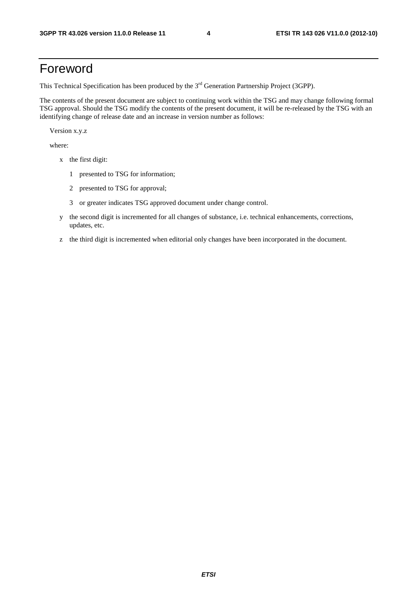# Foreword

This Technical Specification has been produced by the 3<sup>rd</sup> Generation Partnership Project (3GPP).

The contents of the present document are subject to continuing work within the TSG and may change following formal TSG approval. Should the TSG modify the contents of the present document, it will be re-released by the TSG with an identifying change of release date and an increase in version number as follows:

Version x.y.z

where:

- x the first digit:
	- 1 presented to TSG for information;
	- 2 presented to TSG for approval;
	- 3 or greater indicates TSG approved document under change control.
- y the second digit is incremented for all changes of substance, i.e. technical enhancements, corrections, updates, etc.
- z the third digit is incremented when editorial only changes have been incorporated in the document.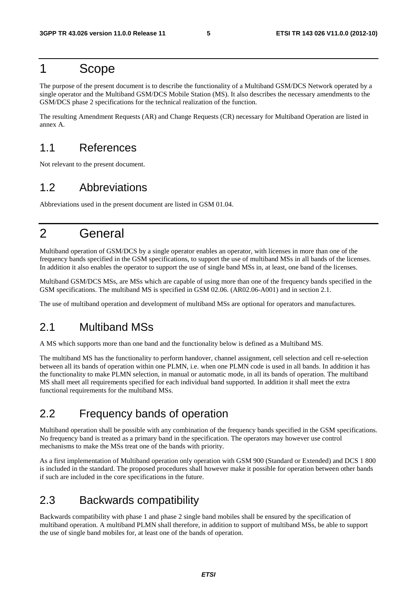# 1 Scope

The purpose of the present document is to describe the functionality of a Multiband GSM/DCS Network operated by a single operator and the Multiband GSM/DCS Mobile Station (MS). It also describes the necessary amendments to the GSM/DCS phase 2 specifications for the technical realization of the function.

The resulting Amendment Requests (AR) and Change Requests (CR) necessary for Multiband Operation are listed in annex A.

# 1.1 References

Not relevant to the present document.

# 1.2 Abbreviations

Abbreviations used in the present document are listed in GSM 01.04.

# 2 General

Multiband operation of GSM/DCS by a single operator enables an operator, with licenses in more than one of the frequency bands specified in the GSM specifications, to support the use of multiband MSs in all bands of the licenses. In addition it also enables the operator to support the use of single band MSs in, at least, one band of the licenses.

Multiband GSM/DCS MSs, are MSs which are capable of using more than one of the frequency bands specified in the GSM specifications. The multiband MS is specified in GSM 02.06. (AR02.06-A001) and in section 2.1.

The use of multiband operation and development of multiband MSs are optional for operators and manufactures.

# 2.1 Multiband MSs

A MS which supports more than one band and the functionality below is defined as a Multiband MS.

The multiband MS has the functionality to perform handover, channel assignment, cell selection and cell re-selection between all its bands of operation within one PLMN, i.e. when one PLMN code is used in all bands. In addition it has the functionality to make PLMN selection, in manual or automatic mode, in all its bands of operation. The multiband MS shall meet all requirements specified for each individual band supported. In addition it shall meet the extra functional requirements for the multiband MSs.

# 2.2 Frequency bands of operation

Multiband operation shall be possible with any combination of the frequency bands specified in the GSM specifications. No frequency band is treated as a primary band in the specification. The operators may however use control mechanisms to make the MSs treat one of the bands with priority.

As a first implementation of Multiband operation only operation with GSM 900 (Standard or Extended) and DCS 1 800 is included in the standard. The proposed procedures shall however make it possible for operation between other bands if such are included in the core specifications in the future.

# 2.3 Backwards compatibility

Backwards compatibility with phase 1 and phase 2 single band mobiles shall be ensured by the specification of multiband operation. A multiband PLMN shall therefore, in addition to support of multiband MSs, be able to support the use of single band mobiles for, at least one of the bands of operation.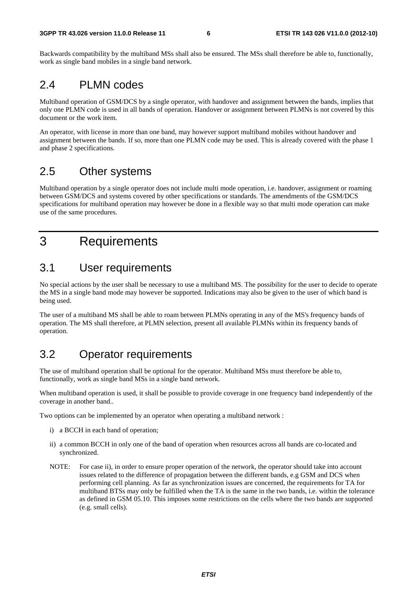Backwards compatibility by the multiband MSs shall also be ensured. The MSs shall therefore be able to, functionally, work as single band mobiles in a single band network.

### 2.4 PLMN codes

Multiband operation of GSM/DCS by a single operator, with handover and assignment between the bands, implies that only one PLMN code is used in all bands of operation. Handover or assignment between PLMNs is not covered by this document or the work item.

An operator, with license in more than one band, may however support multiband mobiles without handover and assignment between the bands. If so, more than one PLMN code may be used. This is already covered with the phase 1 and phase 2 specifications.

# 2.5 Other systems

Multiband operation by a single operator does not include multi mode operation, i.e. handover, assignment or roaming between GSM/DCS and systems covered by other specifications or standards. The amendments of the GSM/DCS specifications for multiband operation may however be done in a flexible way so that multi mode operation can make use of the same procedures.

# 3 Requirements

# 3.1 User requirements

No special actions by the user shall be necessary to use a multiband MS. The possibility for the user to decide to operate the MS in a single band mode may however be supported. Indications may also be given to the user of which band is being used.

The user of a multiband MS shall be able to roam between PLMNs operating in any of the MS's frequency bands of operation. The MS shall therefore, at PLMN selection, present all available PLMNs within its frequency bands of operation.

# 3.2 Operator requirements

The use of multiband operation shall be optional for the operator. Multiband MSs must therefore be able to, functionally, work as single band MSs in a single band network.

When multiband operation is used, it shall be possible to provide coverage in one frequency band independently of the coverage in another band..

Two options can be implemented by an operator when operating a multiband network :

- i) a BCCH in each band of operation;
- ii) a common BCCH in only one of the band of operation when resources across all bands are co-located and synchronized.
- NOTE: For case ii), in order to ensure proper operation of the network, the operator should take into account issues related to the difference of propagation between the different bands, e.g GSM and DCS when performing cell planning. As far as synchronization issues are concerned, the requirements for TA for multiband BTSs may only be fulfilled when the TA is the same in the two bands, i.e. within the tolerance as defined in GSM 05.10. This imposes some restrictions on the cells where the two bands are supported (e.g. small cells).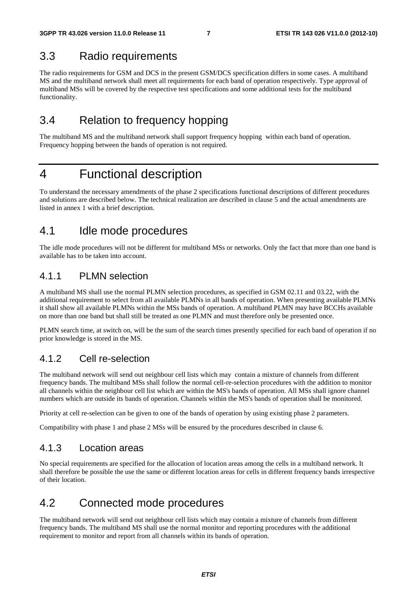### 3.3 Radio requirements

The radio requirements for GSM and DCS in the present GSM/DCS specification differs in some cases. A multiband MS and the multiband network shall meet all requirements for each band of operation respectively. Type approval of multiband MSs will be covered by the respective test specifications and some additional tests for the multiband functionality.

# 3.4 Relation to frequency hopping

The multiband MS and the multiband network shall support frequency hopping within each band of operation. Frequency hopping between the bands of operation is not required.

# 4 Functional description

To understand the necessary amendments of the phase 2 specifications functional descriptions of different procedures and solutions are described below. The technical realization are described in clause 5 and the actual amendments are listed in annex 1 with a brief description.

# 4.1 Idle mode procedures

The idle mode procedures will not be different for multiband MSs or networks. Only the fact that more than one band is available has to be taken into account.

### 4.1.1 PLMN selection

A multiband MS shall use the normal PLMN selection procedures, as specified in GSM 02.11 and 03.22, with the additional requirement to select from all available PLMNs in all bands of operation. When presenting available PLMNs it shall show all available PLMNs within the MSs bands of operation. A multiband PLMN may have BCCHs available on more than one band but shall still be treated as one PLMN and must therefore only be presented once.

PLMN search time, at switch on, will be the sum of the search times presently specified for each band of operation if no prior knowledge is stored in the MS.

### 4.1.2 Cell re-selection

The multiband network will send out neighbour cell lists which may contain a mixture of channels from different frequency bands. The multiband MSs shall follow the normal cell-re-selection procedures with the addition to monitor all channels within the neighbour cell list which are within the MS's bands of operation. All MSs shall ignore channel numbers which are outside its bands of operation. Channels within the MS's bands of operation shall be monitored.

Priority at cell re-selection can be given to one of the bands of operation by using existing phase 2 parameters.

Compatibility with phase 1 and phase 2 MSs will be ensured by the procedures described in clause 6.

### 4.1.3 Location areas

No special requirements are specified for the allocation of location areas among the cells in a multiband network. It shall therefore be possible the use the same or different location areas for cells in different frequency bands irrespective of their location.

# 4.2 Connected mode procedures

The multiband network will send out neighbour cell lists which may contain a mixture of channels from different frequency bands. The multiband MS shall use the normal monitor and reporting procedures with the additional requirement to monitor and report from all channels within its bands of operation.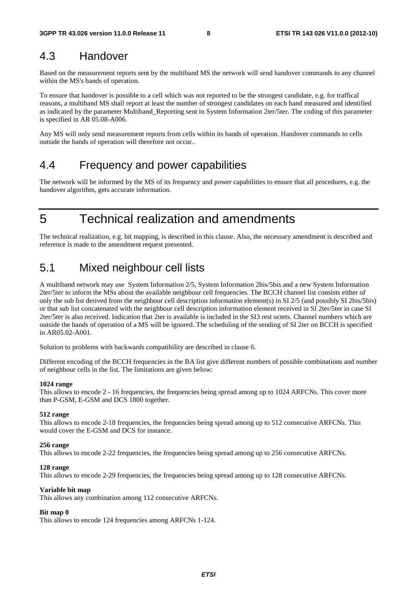### 4.3 Handover

Based on the measurement reports sent by the multiband MS the network will send handover commands to any channel within the MS's bands of operation.

To ensure that handover is possible to a cell which was not reported to be the strongest candidate, e.g. for traffical reasons, a multiband MS shall report at least the number of strongest candidates on each band measured and identified as indicated by the parameter Multiband\_Reporting sent in System Information 2ter/5ter. The coding of this parameter is specified in AR 05.08-A006.

Any MS will only send measurement reports from cells within its bands of operation. Handover commands to cells outside the bands of operation will therefore not occur..

### 4.4 Frequency and power capabilities

The network will be informed by the MS of its frequency and power capabilities to ensure that all procedures, e.g. the handover algorithm, gets accurate information.

5 Technical realization and amendments

The technical realization, e.g. bit mapping, is described in this clause. Also, the necessary amendment is described and reference is made to the amendment request presented.

# 5.1 Mixed neighbour cell lists

A multiband network may use System Information 2/5, System Information 2bis/5bis and a new System Information 2ter/5ter to inform the MSs about the available neighbour cell frequencies. The BCCH channel list consists either of only the sub list derived from the neighbour cell description information element(s) in SI 2/5 (and possibly SI 2bis/5bis) or that sub list concatenated with the neighbour cell description information element received in SI 2ter/5ter in case SI 2ter/5ter is also received. Indication that 2ter is available is included in the SI3 rest octets. Channel numbers which are outside the bands of operation of a MS will be ignored. The scheduling of the sending of SI 2ter on BCCH is specified in AR05.02-A001.

Solution to problems with backwards compatibility are described in clause 6.

Different encoding of the BCCH frequencies in the BA list give different numbers of possible combinations and number of neighbour cells in the list. The limitations are given below:

#### **1024 range**

This allows to encode 2 - 16 frequencies, the frequencies being spread among up to 1024 ARFCNs. This cover more than P-GSM, E-GSM and DCS 1800 together.

#### **512 range**

This allows to encode 2-18 frequencies, the frequencies being spread among up to 512 consecutive ARFCNs. This would cover the E-GSM and DCS for instance.

#### **256 range**

This allows to encode 2-22 frequencies, the frequencies being spread among up to 256 consecutive ARFCNs.

#### **128 range**

This allows to encode 2-29 frequencies, the frequencies being spread among up to 128 consecutive ARFCNs.

#### **Variable bit map**

This allows any combination among 112 consecutive ARFCNs.

#### **Bit map 0**

This allows to encode 124 frequencies among ARFCNs 1-124.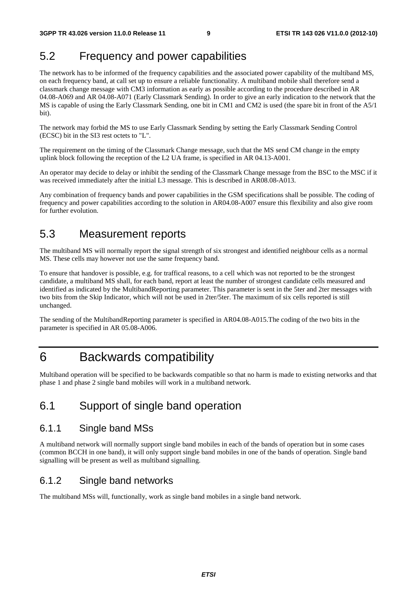# 5.2 Frequency and power capabilities

The network has to be informed of the frequency capabilities and the associated power capability of the multiband MS, on each frequency band, at call set up to ensure a reliable functionality. A multiband mobile shall therefore send a classmark change message with CM3 information as early as possible according to the procedure described in AR 04.08-A069 and AR 04.08-A071 (Early Classmark Sending)*.* In order to give an early indication to the network that the MS is capable of using the Early Classmark Sending, one bit in CM1 and CM2 is used (the spare bit in front of the A5/1 bit).

The network may forbid the MS to use Early Classmark Sending by setting the Early Classmark Sending Control (ECSC) bit in the SI3 rest octets to "L".

The requirement on the timing of the Classmark Change message, such that the MS send CM change in the empty uplink block following the reception of the L2 UA frame, is specified in AR 04.13-A001.

An operator may decide to delay or inhibit the sending of the Classmark Change message from the BSC to the MSC if it was received immediately after the initial L3 message. This is described in AR08.08-A013.

Any combination of frequency bands and power capabilities in the GSM specifications shall be possible. The coding of frequency and power capabilities according to the solution in AR04.08-A007 ensure this flexibility and also give room for further evolution.

# 5.3 Measurement reports

The multiband MS will normally report the signal strength of six strongest and identified neighbour cells as a normal MS. These cells may however not use the same frequency band.

To ensure that handover is possible, e.g. for traffical reasons, to a cell which was not reported to be the strongest candidate, a multiband MS shall, for each band, report at least the number of strongest candidate cells measured and identified as indicated by the MultibandReporting parameter. This parameter is sent in the 5ter and 2ter messages with two bits from the Skip Indicator, which will not be used in 2ter/5ter. The maximum of six cells reported is still unchanged.

The sending of the MultibandReporting parameter is specified in AR04.08-A015.The coding of the two bits in the parameter is specified in AR 05.08-A006.

# 6 Backwards compatibility

Multiband operation will be specified to be backwards compatible so that no harm is made to existing networks and that phase 1 and phase 2 single band mobiles will work in a multiband network.

# 6.1 Support of single band operation

### 6.1.1 Single band MSs

A multiband network will normally support single band mobiles in each of the bands of operation but in some cases (common BCCH in one band), it will only support single band mobiles in one of the bands of operation. Single band signalling will be present as well as multiband signalling.

### 6.1.2 Single band networks

The multiband MSs will, functionally, work as single band mobiles in a single band network.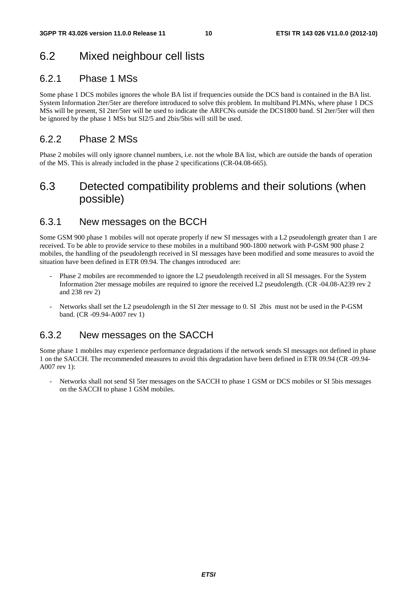# 6.2 Mixed neighbour cell lists

### 6.2.1 Phase 1 MSs

Some phase 1 DCS mobiles ignores the whole BA list if frequencies outside the DCS band is contained in the BA list. System Information 2ter/5ter are therefore introduced to solve this problem. In multiband PLMNs, where phase 1 DCS MSs will be present, SI 2ter/5ter will be used to indicate the ARFCNs outside the DCS1800 band. SI 2ter/5ter will then be ignored by the phase 1 MSs but SI2/5 and 2bis/5bis will still be used.

### 6.2.2 Phase 2 MSs

Phase 2 mobiles will only ignore channel numbers, i.e. not the whole BA list, which are outside the bands of operation of the MS. This is already included in the phase 2 specifications (CR-04.08-665).

# 6.3 Detected compatibility problems and their solutions (when possible)

### 6.3.1 New messages on the BCCH

Some GSM 900 phase 1 mobiles will not operate properly if new SI messages with a L2 pseudolength greater than 1 are received. To be able to provide service to these mobiles in a multiband 900-1800 network with P-GSM 900 phase 2 mobiles, the handling of the pseudolength received in SI messages have been modified and some measures to avoid the situation have been defined in ETR 09.94. The changes introduced are:

- Phase 2 mobiles are recommended to ignore the L2 pseudolength received in all SI messages. For the System Information 2ter message mobiles are required to ignore the received L2 pseudolength. (CR -04.08-A239 rev 2 and 238 rev 2)
- Networks shall set the L2 pseudolength in the SI 2ter message to 0. SI 2bis must not be used in the P-GSM band. (CR -09.94-A007 rev 1)

### 6.3.2 New messages on the SACCH

Some phase 1 mobiles may experience performance degradations if the network sends SI messages not defined in phase 1 on the SACCH. The recommended measures to avoid this degradation have been defined in ETR 09.94 (CR -09.94- A007 rev 1):

- Networks shall not send SI 5ter messages on the SACCH to phase 1 GSM or DCS mobiles or SI 5bis messages on the SACCH to phase 1 GSM mobiles.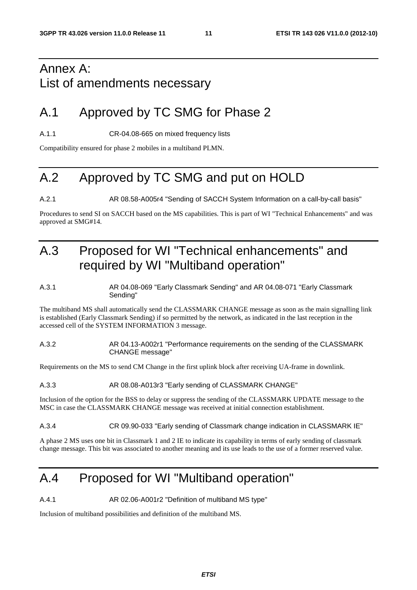# Annex A: List of amendments necessary

# A.1 Approved by TC SMG for Phase 2

A.1.1 CR-04.08-665 on mixed frequency lists

Compatibility ensured for phase 2 mobiles in a multiband PLMN.

# A.2 Approved by TC SMG and put on HOLD

A.2.1 AR 08.58-A005r4 "Sending of SACCH System Information on a call-by-call basis"

Procedures to send SI on SACCH based on the MS capabilities. This is part of WI "Technical Enhancements" and was approved at SMG#14.

# A.3 Proposed for WI "Technical enhancements" and required by WI "Multiband operation"

#### A.3.1 AR 04.08-069 "Early Classmark Sending" and AR 04.08-071 "Early Classmark Sending"

The multiband MS shall automatically send the CLASSMARK CHANGE message as soon as the main signalling link is established (Early Classmark Sending) if so permitted by the network, as indicated in the last reception in the accessed cell of the SYSTEM INFORMATION 3 message.

#### A.3.2 AR 04.13-A002r1 "Performance requirements on the sending of the CLASSMARK CHANGE message"

Requirements on the MS to send CM Change in the first uplink block after receiving UA-frame in downlink.

#### A.3.3 AR 08.08-A013r3 "Early sending of CLASSMARK CHANGE"

Inclusion of the option for the BSS to delay or suppress the sending of the CLASSMARK UPDATE message to the MSC in case the CLASSMARK CHANGE message was received at initial connection establishment.

#### A.3.4 CR 09.90-033 "Early sending of Classmark change indication in CLASSMARK IE"

A phase 2 MS uses one bit in Classmark 1 and 2 IE to indicate its capability in terms of early sending of classmark change message. This bit was associated to another meaning and its use leads to the use of a former reserved value.

# A.4 Proposed for WI "Multiband operation"

A.4.1 AR 02.06-A001r2 "Definition of multiband MS type"

Inclusion of multiband possibilities and definition of the multiband MS.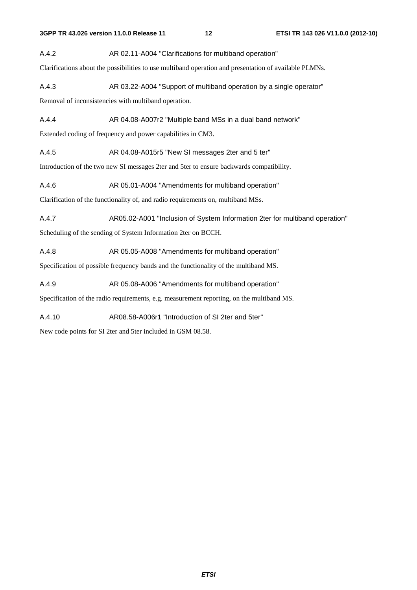A.4.2 AR 02.11-A004 "Clarifications for multiband operation"

Clarifications about the possibilities to use multiband operation and presentation of available PLMNs.

A.4.3 AR 03.22-A004 "Support of multiband operation by a single operator"

Removal of inconsistencies with multiband operation.

A.4.4 **AR 04.08-A007r2** "Multiple band MSs in a dual band network"

Extended coding of frequency and power capabilities in CM3.

A.4.5 AR 04.08-A015r5 "New SI messages 2ter and 5 ter"

Introduction of the two new SI messages 2ter and 5ter to ensure backwards compatibility.

A.4.6 AR 05.01-A004 "Amendments for multiband operation"

Clarification of the functionality of, and radio requirements on, multiband MSs.

A.4.7 AR05.02-A001 "Inclusion of System Information 2ter for multiband operation"

Scheduling of the sending of System Information 2ter on BCCH.

A.4.8 AR 05.05-A008 "Amendments for multiband operation"

Specification of possible frequency bands and the functionality of the multiband MS.

A.4.9 AR 05.08-A006 "Amendments for multiband operation"

Specification of the radio requirements, e.g. measurement reporting, on the multiband MS.

A.4.10 AR08.58-A006r1 "Introduction of SI 2ter and 5ter"

New code points for SI 2ter and 5ter included in GSM 08.58.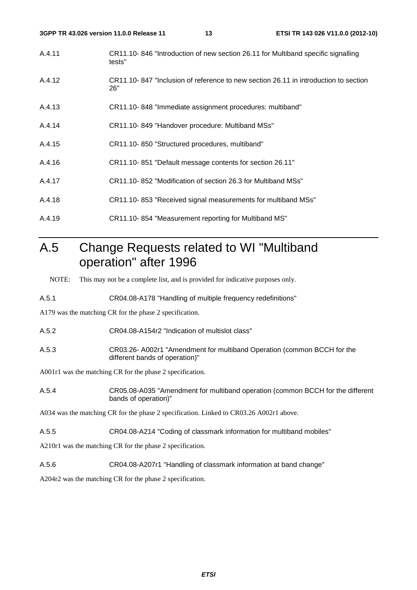| 3GPP TR 43.026 version 11.0.0 Release 11 |                                                              | 13 | ETSI TR 143 026 V11.0.0 (2012-10)                                                   |
|------------------------------------------|--------------------------------------------------------------|----|-------------------------------------------------------------------------------------|
| A.4.11                                   | tests"                                                       |    | CR11.10-846 "Introduction of new section 26.11 for Multiband specific signalling    |
| A.4.12                                   | 26"                                                          |    | CR11.10-847 "Inclusion of reference to new section 26.11 in introduction to section |
| A.4.13                                   | CR11.10-848 "Immediate assignment procedures: multiband"     |    |                                                                                     |
| A.4.14                                   | CR11.10-849 "Handover procedure: Multiband MSs"              |    |                                                                                     |
| A.4.15                                   | CR11.10-850 "Structured procedures, multiband"               |    |                                                                                     |
| A.4.16                                   | CR11.10-851 "Default message contents for section 26.11"     |    |                                                                                     |
| A.4.17                                   | CR11.10-852 "Modification of section 26.3 for Multiband MSs" |    |                                                                                     |
| A.4.18                                   |                                                              |    | CR11.10-853 "Received signal measurements for multiband MSs"                        |
| A.4.19                                   | CR11.10-854 "Measurement reporting for Multiband MS"         |    |                                                                                     |

# A.5 Change Requests related to WI "Multiband operation" after 1996

NOTE: This may not be a complete list, and is provided for indicative purposes only.

A.5.1 CR04.08-A178 "Handling of multiple frequency redefinitions"

A179 was the matching CR for the phase 2 specification.

A.5.2 CR04.08-A154r2 "Indication of multislot class"

A.5.3 CR03.26- A002r1 "Amendment for multiband Operation (common BCCH for the different bands of operation)"

A001r1 was the matching CR for the phase 2 specification.

A.5.4 CR05.08-A035 "Amendment for multiband operation (common BCCH for the different bands of operation)"

A034 was the matching CR for the phase 2 specification. Linked to CR03.26 A002r1 above.

A.5.5 CR04.08-A214 "Coding of classmark information for multiband mobiles"

A210r1 was the matching CR for the phase 2 specification.

A.5.6 CR04.08-A207r1 "Handling of classmark information at band change"

A204r2 was the matching CR for the phase 2 specification.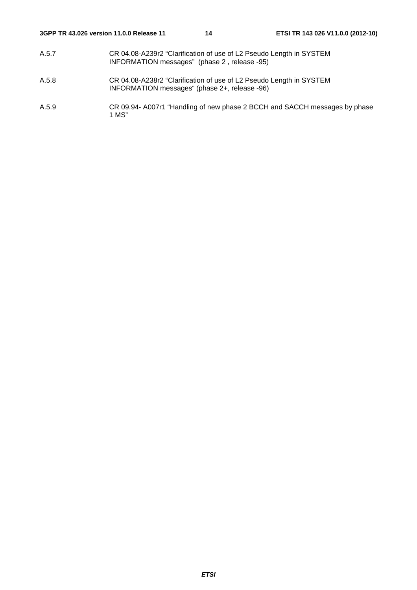- A.5.7 CR 04.08-A239r2 "Clarification of use of L2 Pseudo Length in SYSTEM INFORMATION messages" (phase 2 , release -95)
- A.5.8 CR 04.08-A238r2 "Clarification of use of L2 Pseudo Length in SYSTEM INFORMATION messages" (phase 2+, release -96)
- A.5.9 CR 09.94- A007r1 "Handling of new phase 2 BCCH and SACCH messages by phase 1 MS"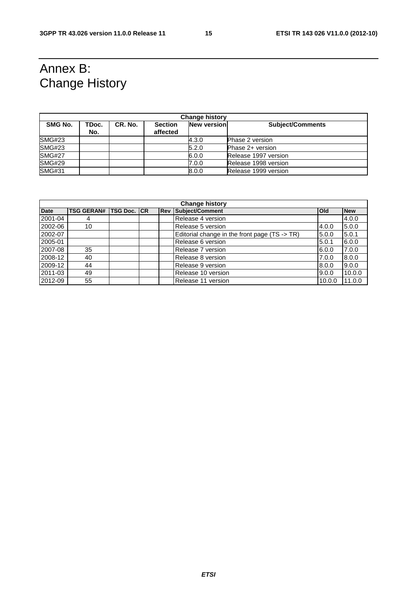# Annex B: Change History

| <b>Change history</b> |              |         |                            |                    |                         |  |
|-----------------------|--------------|---------|----------------------------|--------------------|-------------------------|--|
| SMG No.               | TDoc.<br>No. | CR. No. | <b>Section</b><br>affected | <b>New version</b> | <b>Subject/Comments</b> |  |
| SMG#23                |              |         |                            | 4.3.0              | Phase 2 version         |  |
| SMG#23                |              |         |                            | 5.2.0              | Phase 2+ version        |  |
| <b>SMG#27</b>         |              |         |                            | 6.0.0              | Release 1997 version    |  |
| <b>SMG#29</b>         |              |         |                            | 7.0.0              | Release 1998 version    |  |
| <b>SMG#31</b>         |              |         |                            | 8.0.0              | Release 1999 version    |  |

| <b>Change history</b> |                               |  |  |            |                                               |              |            |
|-----------------------|-------------------------------|--|--|------------|-----------------------------------------------|--------------|------------|
| <b>Date</b>           | <b>TSG GERAN# TSG Doc. CR</b> |  |  | <b>Rev</b> | Subject/Comment                               | <b>l</b> Old | <b>New</b> |
| 2001-04               |                               |  |  |            | Release 4 version                             |              | 4.0.0      |
| 2002-06               | 10                            |  |  |            | Release 5 version                             | 4.0.0        | 15.0.0     |
| 2002-07               |                               |  |  |            | Editorial change in the front page (TS -> TR) | 5.0.0        | 5.0.1      |
| 2005-01               |                               |  |  |            | Release 6 version                             | 5.0.1        | 6.0.0      |
| 2007-08               | 35                            |  |  |            | Release 7 version                             | 6.0.0        | 7.0.0      |
| 2008-12               | 40                            |  |  |            | Release 8 version                             | 7.0.0        | 8.0.0      |
| 2009-12               | 44                            |  |  |            | Release 9 version                             | 8.0.0        | 9.0.0      |
| 2011-03               | 49                            |  |  |            | Release 10 version                            | 9.0.0        | 10.0.0     |
| 2012-09               | 55                            |  |  |            | Release 11 version                            | 10.0.0       | 11.0.0     |